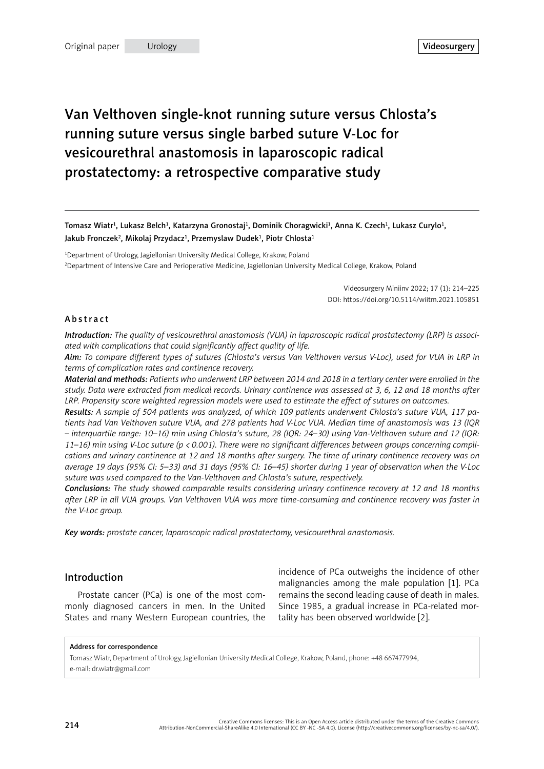# Van Velthoven single-knot running suture versus Chlosta's running suture versus single barbed suture V-Loc for vesicourethral anastomosis in laparoscopic radical prostatectomy: a retrospective comparative study

Tomasz Wiatr<sup>1</sup>, Lukasz Belch<sup>1</sup>, Katarzyna Gronostaj<sup>1</sup>, Dominik Choragwicki<sup>1</sup>, Anna K. Czech<sup>1</sup>, Lukasz Curylo<sup>1</sup>, Jakub Fronczek<sup>2</sup>, Mikolaj Przydacz<sup>1</sup>, Przemyslaw Dudek<sup>1</sup>, Piotr Chlosta<sup>1</sup>

1 Department of Urology, Jagiellonian University Medical College, Krakow, Poland 2 Department of Intensive Care and Perioperative Medicine, Jagiellonian University Medical College, Krakow, Poland

> Videosurgery Miniinv 2022; 17 (1): 214–225 DOI: https://doi.org/10.5114/wiitm.2021.105851

#### Abstract

*Introduction: The quality of vesicourethral anastomosis (VUA) in laparoscopic radical prostatectomy (LRP) is associated with complications that could significantly affect quality of life.*

*Aim: To compare different types of sutures (Chlosta's versus Van Velthoven versus V-Loc), used for VUA in LRP in terms of complication rates and continence recovery.*

*Material and methods: Patients who underwent LRP between 2014 and 2018 in a tertiary center were enrolled in the study. Data were extracted from medical records. Urinary continence was assessed at 3, 6, 12 and 18 months after LRP. Propensity score weighted regression models were used to estimate the effect of sutures on outcomes.*

*Results: A sample of 504 patients was analyzed, of which 109 patients underwent Chlosta's suture VUA, 117 patients had Van Velthoven suture VUA, and 278 patients had V-Loc VUA. Median time of anastomosis was 13 (IQR – interquartile range: 10–16) min using Chlosta's suture, 28 (IQR: 24–30) using Van-Velthoven suture and 12 (IQR: 11–16) min using V-Loc suture (p < 0.001). There were no significant differences between groups concerning complications and urinary continence at 12 and 18 months after surgery. The time of urinary continence recovery was on average 19 days (95% CI: 5–33) and 31 days (95% CI: 16–45) shorter during 1 year of observation when the V-Loc suture was used compared to the Van-Velthoven and Chlosta's suture, respectively.*

*Conclusions: The study showed comparable results considering urinary continence recovery at 12 and 18 months after LRP in all VUA groups. Van Velthoven VUA was more time-consuming and continence recovery was faster in the V-Loc group.*

*Key words: prostate cancer, laparoscopic radical prostatectomy, vesicourethral anastomosis.*

#### Introduction

Prostate cancer (PCa) is one of the most commonly diagnosed cancers in men. In the United States and many Western European countries, the incidence of PCa outweighs the incidence of other malignancies among the male population [1]. PCa remains the second leading cause of death in males. Since 1985, a gradual increase in PCa-related mortality has been observed worldwide [2].

#### Address for correspondence

Tomasz Wiatr, Department of Urology, Jagiellonian University Medical College, Krakow, Poland, phone: +48 667477994, e-mail: [dr.wiatr@gmail.com](mailto:dr.wiatr@gmail.com)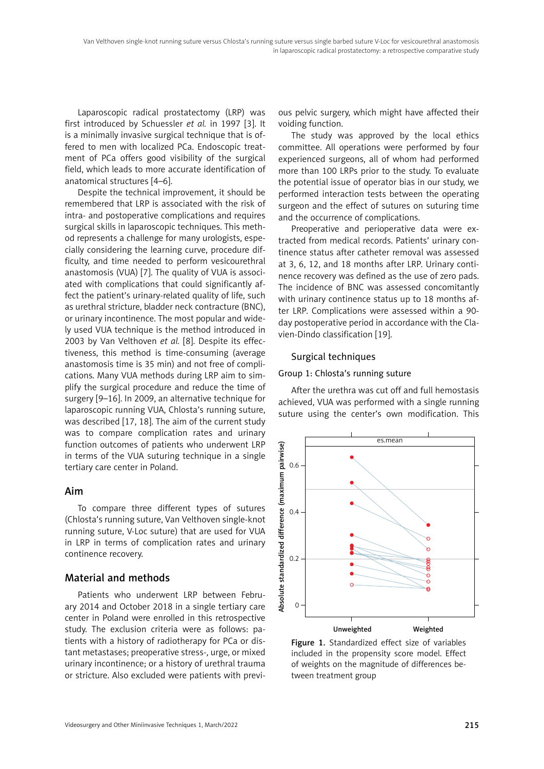Laparoscopic radical prostatectomy (LRP) was first introduced by Schuessler *et al.* in 1997 [3]. It is a minimally invasive surgical technique that is offered to men with localized PCa. Endoscopic treatment of PCa offers good visibility of the surgical field, which leads to more accurate identification of anatomical structures [4–6].

Despite the technical improvement, it should be remembered that LRP is associated with the risk of intra- and postoperative complications and requires surgical skills in laparoscopic techniques. This method represents a challenge for many urologists, especially considering the learning curve, procedure difficulty, and time needed to perform vesicourethral anastomosis (VUA) [7]. The quality of VUA is associated with complications that could significantly affect the patient's urinary-related quality of life, such as urethral stricture, bladder neck contracture (BNC), or urinary incontinence. The most popular and widely used VUA technique is the method introduced in 2003 by Van Velthoven *et al.* [8]. Despite its effectiveness, this method is time-consuming (average anastomosis time is 35 min) and not free of complications. Many VUA methods during LRP aim to simplify the surgical procedure and reduce the time of surgery [9–16]. In 2009, an alternative technique for laparoscopic running VUA, Chlosta's running suture, was described [17, 18]. The aim of the current study was to compare complication rates and urinary function outcomes of patients who underwent LRP in terms of the VUA suturing technique in a single tertiary care center in Poland.

#### Aim

To compare three different types of sutures (Chlosta's running suture, Van Velthoven single-knot running suture, V-Loc suture) that are used for VUA in LRP in terms of complication rates and urinary continence recovery.

# Material and methods

Patients who underwent LRP between February 2014 and October 2018 in a single tertiary care center in Poland were enrolled in this retrospective study. The exclusion criteria were as follows: patients with a history of radiotherapy for PCa or distant metastases; preoperative stress-, urge, or mixed urinary incontinence; or a history of urethral trauma or stricture. Also excluded were patients with previ-

ous pelvic surgery, which might have affected their voiding function.

The study was approved by the local ethics committee. All operations were performed by four experienced surgeons, all of whom had performed more than 100 LRPs prior to the study. To evaluate the potential issue of operator bias in our study, we performed interaction tests between the operating surgeon and the effect of sutures on suturing time and the occurrence of complications.

Preoperative and perioperative data were extracted from medical records. Patients' urinary continence status after catheter removal was assessed at 3, 6, 12, and 18 months after LRP. Urinary continence recovery was defined as the use of zero pads. The incidence of BNC was assessed concomitantly with urinary continence status up to 18 months after LRP. Complications were assessed within a 90 day postoperative period in accordance with the Clavien-Dindo classification [19].

## Surgical techniques

#### Group 1: Chlosta's running suture

After the urethra was cut off and full hemostasis achieved, VUA was performed with a single running suture using the center's own modification. This



Figure 1. Standardized effect size of variables included in the propensity score model. Effect of weights on the magnitude of differences between treatment group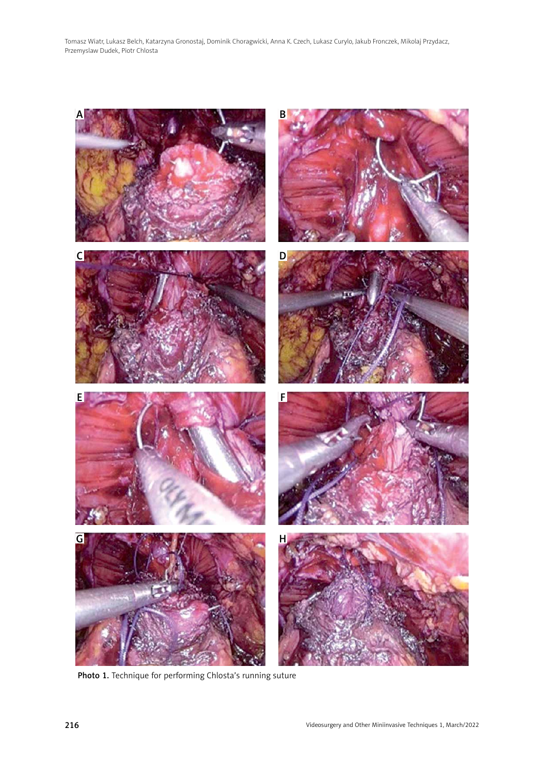

Photo 1. Technique for performing Chlosta's running suture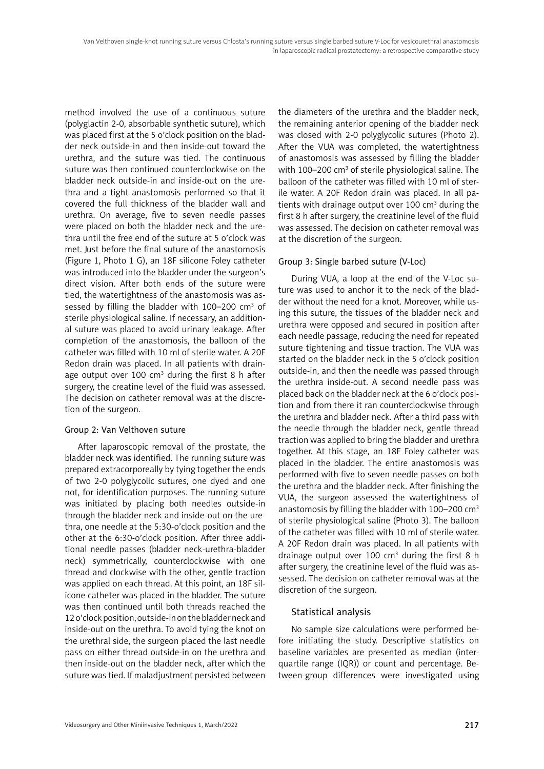method involved the use of a continuous suture (polyglactin 2-0, absorbable synthetic suture), which was placed first at the 5 o'clock position on the bladder neck outside-in and then inside-out toward the urethra, and the suture was tied. The continuous suture was then continued counterclockwise on the bladder neck outside-in and inside-out on the urethra and a tight anastomosis performed so that it covered the full thickness of the bladder wall and urethra. On average, five to seven needle passes were placed on both the bladder neck and the urethra until the free end of the suture at 5 o'clock was met. Just before the final suture of the anastomosis (Figure 1, Photo 1 G), an 18F silicone Foley catheter was introduced into the bladder under the surgeon's direct vision. After both ends of the suture were tied, the watertightness of the anastomosis was assessed by filling the bladder with  $100-200$  cm<sup>3</sup> of sterile physiological saline. If necessary, an additional suture was placed to avoid urinary leakage. After completion of the anastomosis, the balloon of the catheter was filled with 10 ml of sterile water. A 20F Redon drain was placed. In all patients with drainage output over 100  $cm<sup>3</sup>$  during the first 8 h after surgery, the creatine level of the fluid was assessed. The decision on catheter removal was at the discretion of the surgeon.

#### Group 2: Van Velthoven suture

After laparoscopic removal of the prostate, the bladder neck was identified. The running suture was prepared extracorporeally by tying together the ends of two 2-0 polyglycolic sutures, one dyed and one not, for identification purposes. The running suture was initiated by placing both needles outside-in through the bladder neck and inside-out on the urethra, one needle at the 5:30-o'clock position and the other at the 6:30-o'clock position. After three additional needle passes (bladder neck-urethra-bladder neck) symmetrically, counterclockwise with one thread and clockwise with the other, gentle traction was applied on each thread. At this point, an 18F silicone catheter was placed in the bladder. The suture was then continued until both threads reached the 12 o'clock position, outside-in on the bladder neck and inside-out on the urethra. To avoid tying the knot on the urethral side, the surgeon placed the last needle pass on either thread outside-in on the urethra and then inside-out on the bladder neck, after which the suture was tied. If maladjustment persisted between

the diameters of the urethra and the bladder neck, the remaining anterior opening of the bladder neck was closed with 2-0 polyglycolic sutures (Photo 2). After the VUA was completed, the watertightness of anastomosis was assessed by filling the bladder with 100–200 cm<sup>3</sup> of sterile physiological saline. The balloon of the catheter was filled with 10 ml of sterile water. A 20F Redon drain was placed. In all patients with drainage output over 100  $cm<sup>3</sup>$  during the first 8 h after surgery, the creatinine level of the fluid was assessed. The decision on catheter removal was at the discretion of the surgeon.

## Group 3: Single barbed suture (V-Loc)

During VUA, a loop at the end of the V-Loc suture was used to anchor it to the neck of the bladder without the need for a knot. Moreover, while using this suture, the tissues of the bladder neck and urethra were opposed and secured in position after each needle passage, reducing the need for repeated suture tightening and tissue traction. The VUA was started on the bladder neck in the 5 o'clock position outside-in, and then the needle was passed through the urethra inside-out. A second needle pass was placed back on the bladder neck at the 6 o'clock position and from there it ran counterclockwise through the urethra and bladder neck. After a third pass with the needle through the bladder neck, gentle thread traction was applied to bring the bladder and urethra together. At this stage, an 18F Foley catheter was placed in the bladder. The entire anastomosis was performed with five to seven needle passes on both the urethra and the bladder neck. After finishing the VUA, the surgeon assessed the watertightness of anastomosis by filling the bladder with  $100-200$  cm<sup>3</sup> of sterile physiological saline (Photo 3). The balloon of the catheter was filled with 10 ml of sterile water. A 20F Redon drain was placed. In all patients with drainage output over 100  $cm<sup>3</sup>$  during the first 8 h after surgery, the creatinine level of the fluid was assessed. The decision on catheter removal was at the discretion of the surgeon.

# Statistical analysis

No sample size calculations were performed before initiating the study. Descriptive statistics on baseline variables are presented as median (interquartile range (IQR)) or count and percentage. Between-group differences were investigated using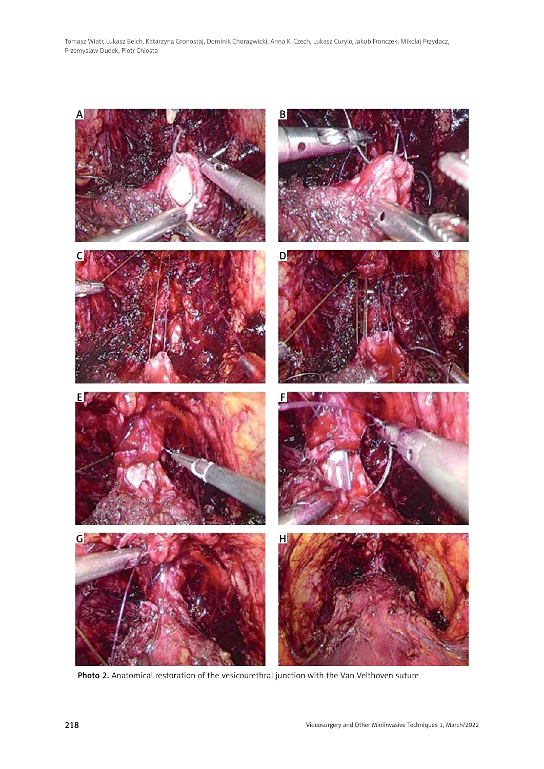

Photo 2. Anatomical restoration of the vesicourethral junction with the Van Velthoven suture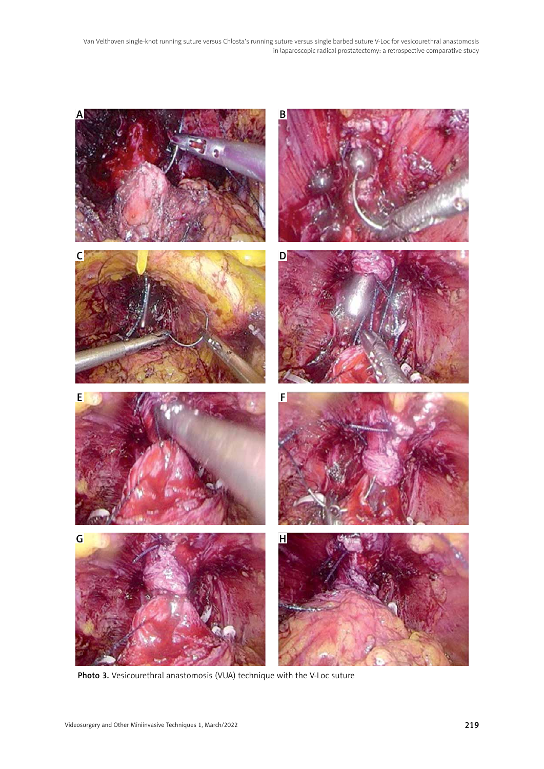

Photo 3. Vesicourethral anastomosis (VUA) technique with the V-Loc suture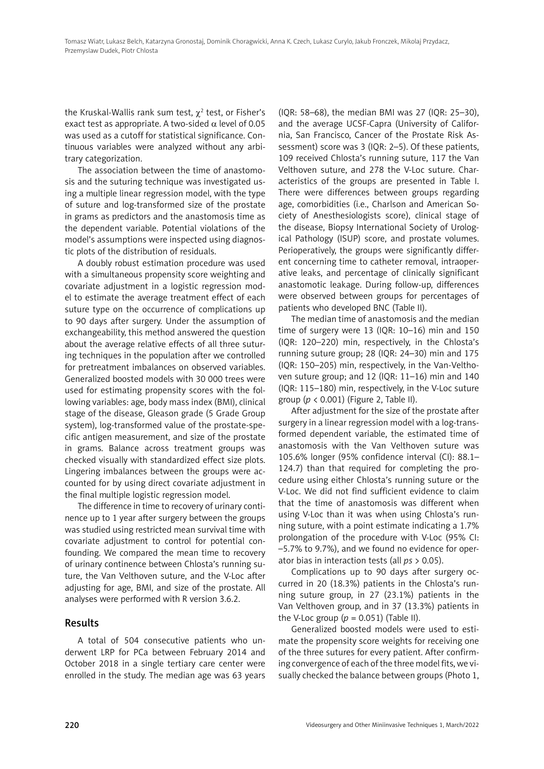the Kruskal-Wallis rank sum test,  $\chi^2$  test, or Fisher's exact test as appropriate. A two-sided  $\alpha$  level of 0.05 was used as a cutoff for statistical significance. Continuous variables were analyzed without any arbitrary categorization.

The association between the time of anastomosis and the suturing technique was investigated using a multiple linear regression model, with the type of suture and log-transformed size of the prostate in grams as predictors and the anastomosis time as the dependent variable. Potential violations of the model's assumptions were inspected using diagnostic plots of the distribution of residuals.

A doubly robust estimation procedure was used with a simultaneous propensity score weighting and covariate adjustment in a logistic regression model to estimate the average treatment effect of each suture type on the occurrence of complications up to 90 days after surgery. Under the assumption of exchangeability, this method answered the question about the average relative effects of all three suturing techniques in the population after we controlled for pretreatment imbalances on observed variables. Generalized boosted models with 30 000 trees were used for estimating propensity scores with the following variables: age, body mass index (BMI), clinical stage of the disease, Gleason grade (5 Grade Group system), log-transformed value of the prostate-specific antigen measurement, and size of the prostate in grams. Balance across treatment groups was checked visually with standardized effect size plots. Lingering imbalances between the groups were accounted for by using direct covariate adjustment in the final multiple logistic regression model.

The difference in time to recovery of urinary continence up to 1 year after surgery between the groups was studied using restricted mean survival time with covariate adjustment to control for potential confounding. We compared the mean time to recovery of urinary continence between Chlosta's running suture, the Van Velthoven suture, and the V-Loc after adjusting for age, BMI, and size of the prostate. All analyses were performed with R version 3.6.2.

# Results

A total of 504 consecutive patients who underwent LRP for PCa between February 2014 and October 2018 in a single tertiary care center were enrolled in the study. The median age was 63 years

(IQR: 58–68), the median BMI was 27 (IQR: 25–30), and the average UCSF-Capra (University of California, San Francisco, Cancer of the Prostate Risk Assessment) score was 3 (IQR: 2–5). Of these patients, 109 received Chlosta's running suture, 117 the Van Velthoven suture, and 278 the V-Loc suture. Characteristics of the groups are presented in Table I. There were differences between groups regarding age, comorbidities (i.e., Charlson and American Society of Anesthesiologists score), clinical stage of the disease, Biopsy International Society of Urological Pathology (ISUP) score, and prostate volumes. Perioperatively, the groups were significantly different concerning time to catheter removal, intraoperative leaks, and percentage of clinically significant anastomotic leakage. During follow-up, differences were observed between groups for percentages of patients who developed BNC (Table II).

The median time of anastomosis and the median time of surgery were 13 (IQR: 10–16) min and 150 (IQR: 120–220) min, respectively, in the Chlosta's running suture group; 28 (IQR: 24–30) min and 175 (IQR: 150–205) min, respectively, in the Van-Velthoven suture group; and 12 (IQR: 11–16) min and 140 (IQR: 115–180) min, respectively, in the V-Loc suture group (*p* < 0.001) (Figure 2, Table II).

After adjustment for the size of the prostate after surgery in a linear regression model with a log-transformed dependent variable, the estimated time of anastomosis with the Van Velthoven suture was 105.6% longer (95% confidence interval (CI): 88.1– 124.7) than that required for completing the procedure using either Chlosta's running suture or the V-Loc. We did not find sufficient evidence to claim that the time of anastomosis was different when using V-Loc than it was when using Chlosta's running suture, with a point estimate indicating a 1.7% prolongation of the procedure with V-Loc (95% CI: –5.7% to 9.7%), and we found no evidence for operator bias in interaction tests (all *ps* > 0.05).

Complications up to 90 days after surgery occurred in 20 (18.3%) patients in the Chlosta's running suture group, in 27 (23.1%) patients in the Van Velthoven group, and in 37 (13.3%) patients in the V-Loc group ( $p = 0.051$ ) (Table II).

Generalized boosted models were used to estimate the propensity score weights for receiving one of the three sutures for every patient. After confirming convergence of each of the three model fits, we visually checked the balance between groups (Photo 1,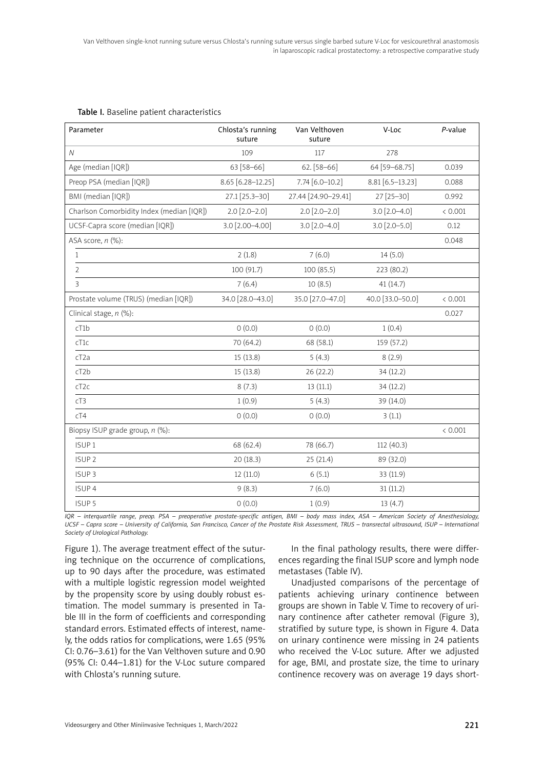| Parameter                                 | Chlosta's running<br>suture | Van Velthoven<br>suture | V-Loc              | P-value |
|-------------------------------------------|-----------------------------|-------------------------|--------------------|---------|
| $\mathcal N$                              | 109                         | 117                     | 278                |         |
| Age (median [IQR])                        | 63 [58-66]                  | $62. [58 - 66]$         | 64 [59-68.75]      | 0.039   |
| Preop PSA (median [IQR])                  | 8.65 [6.28-12.25]           | $7.74$ [6.0-10.2]       | $8.81$ [6.5-13.23] | 0.088   |
| BMI (median [IQR])                        | 27.1 [25.3-30]              | 27.44 [24.90-29.41]     | $27$ [25-30]       | 0.992   |
| Charlson Comorbidity Index (median [IQR]) | $2.0$ [2.0-2.0]             | $2.0$ [2.0-2.0]         | $3.0$ [2.0-4.0]    | < 0.001 |
| UCSF-Capra score (median [IQR])           | 3.0 [2.00-4.00]             | $3.0$ [2.0-4.0]         | $3.0$ [2.0-5.0]    | 0.12    |
| ASA score, n (%):                         |                             |                         |                    | 0.048   |
| $\mathbf{1}$                              | 2(1.8)                      | 7(6.0)                  | 14(5.0)            |         |
| $\overline{2}$                            | 100 (91.7)                  | 100(85.5)               | 223 (80.2)         |         |
| 3                                         | 7(6.4)                      | 10(8.5)                 | 41(14.7)           |         |
| Prostate volume (TRUS) (median [IQR])     | 34.0 [28.0-43.0]            | 35.0 [27.0-47.0]        | 40.0 [33.0-50.0]   | < 0.001 |
| Clinical stage, n (%):                    |                             |                         |                    | 0.027   |
| cT1b                                      | 0(0.0)                      | 0(0.0)                  | 1(0.4)             |         |
| cT1c                                      | 70 (64.2)                   | 68 (58.1)               | 159 (57.2)         |         |
| cT <sub>2</sub> a                         | 15(13.8)                    | 5(4.3)                  | 8(2.9)             |         |
| cT2b                                      | 15(13.8)                    | 26(22.2)                | 34 (12.2)          |         |
| cT2c                                      | 8(7.3)                      | 13(11.1)                | 34 (12.2)          |         |
| cT3                                       | 1(0.9)                      | 5(4.3)                  | 39 (14.0)          |         |
| cT4                                       | 0(0.0)                      | 0(0.0)                  | 3(1.1)             |         |
| Biopsy ISUP grade group, n (%):           |                             |                         |                    | < 0.001 |
| ISUP <sub>1</sub>                         | 68 (62.4)                   | 78 (66.7)               | 112(40.3)          |         |
| ISUP <sub>2</sub>                         | 20 (18.3)                   | 25(21.4)                | 89 (32.0)          |         |
| ISUP <sub>3</sub>                         | 12 (11.0)                   | 6(5.1)                  | 33 (11.9)          |         |
| ISUP <sub>4</sub>                         | 9(8.3)                      | 7(6.0)                  | 31(11.2)           |         |
| ISUP <sub>5</sub>                         | 0(0.0)                      | 1(0.9)                  | 13(4.7)            |         |

#### Table I. Baseline patient characteristics

*IQR – interquartile range, preop. PSA – preoperative prostate-specific antigen, BMI – body mass index, ASA – American Society of Anesthesiology, UCSF – Capra score – University of California, San Francisco, Cancer of the Prostate Risk Assessment, TRUS – transrectal ultrasound, ISUP – International Society of Urological Pathology.*

Figure 1). The average treatment effect of the suturing technique on the occurrence of complications, up to 90 days after the procedure, was estimated with a multiple logistic regression model weighted by the propensity score by using doubly robust estimation. The model summary is presented in Table III in the form of coefficients and corresponding standard errors. Estimated effects of interest, namely, the odds ratios for complications, were 1.65 (95% CI: 0.76–3.61) for the Van Velthoven suture and 0.90 (95% CI: 0.44–1.81) for the V-Loc suture compared with Chlosta's running suture.

In the final pathology results, there were differences regarding the final ISUP score and lymph node metastases (Table IV).

Unadjusted comparisons of the percentage of patients achieving urinary continence between groups are shown in Table V. Time to recovery of urinary continence after catheter removal (Figure 3), stratified by suture type, is shown in Figure 4. Data on urinary continence were missing in 24 patients who received the V-Loc suture. After we adjusted for age, BMI, and prostate size, the time to urinary continence recovery was on average 19 days short-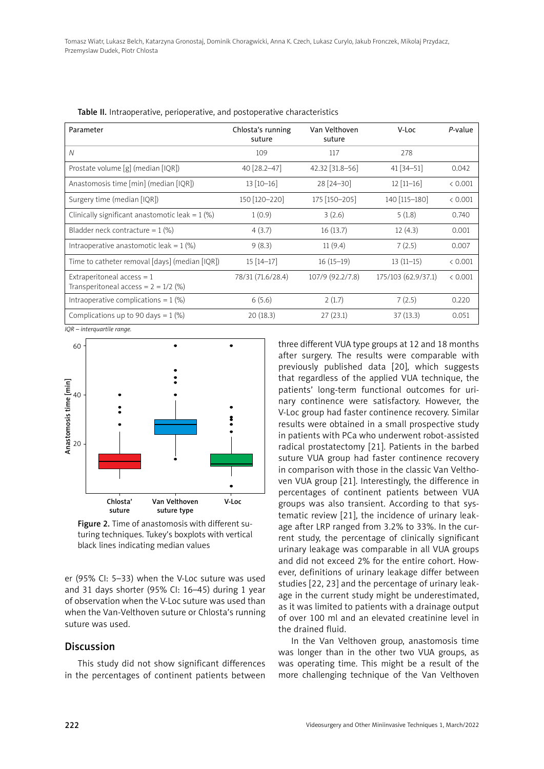| Parameter                                                              | Chlosta's running<br>suture | Van Velthoven<br>suture | V-Loc               | P-value |
|------------------------------------------------------------------------|-----------------------------|-------------------------|---------------------|---------|
| N                                                                      | 109                         | 117                     | 278                 |         |
| Prostate volume [g] (median [IQR])                                     | 40 [28.2-47]                | 42.32 [31.8-56]         | $41$ [34-51]        | 0.042   |
| Anastomosis time [min] (median [IQR])                                  | $13 [10 - 16]$              | 28 [24-30]              | $12$ [11-16]        | < 0.001 |
| Surgery time (median [IQR])                                            | 150 [120-220]               | 175 [150-205]           | 140 [115-180]       | < 0.001 |
| Clinically significant anastomotic leak = $1$ (%)                      | 1(0.9)                      | 3(2.6)                  | 5(1.8)              | 0.740   |
| Bladder neck contracture = $1$ (%)                                     | 4(3.7)                      | 16(13.7)                | 12(4.3)             | 0.001   |
| Intraoperative anastomotic leak = $1$ (%)                              | 9(8.3)                      | 11(9.4)                 | 7(2.5)              | 0.007   |
| Time to catheter removal [days] (median [IQR])                         | $15[14-17]$                 | $16(15-19)$             | $13(11-15)$         | < 0.001 |
| Extraperitoneal $access = 1$<br>Transperitoneal access = $2 = 1/2$ (%) | 78/31 (71.6/28.4)           | 107/9 (92.2/7.8)        | 175/103 (62.9/37.1) | < 0.001 |
| Intraoperative complications = $1$ (%)                                 | 6(5.6)                      | 2(1.7)                  | 7(2.5)              | 0.220   |
| Complications up to 90 days = $1$ (%)                                  | 20(18.3)                    | 27(23.1)                | 37(13.3)            | 0.051   |

Table II. Intraoperative, perioperative, and postoperative characteristics

*IQR – interquartile range.*



Figure 2. Time of anastomosis with different suturing techniques. Tukey's boxplots with vertical black lines indicating median values

er (95% CI: 5–33) when the V-Loc suture was used and 31 days shorter (95% CI: 16–45) during 1 year of observation when the V-Loc suture was used than when the Van-Velthoven suture or Chlosta's running suture was used.

# Discussion

This study did not show significant differences in the percentages of continent patients between three different VUA type groups at 12 and 18 months after surgery. The results were comparable with previously published data [20], which suggests that regardless of the applied VUA technique, the patients' long-term functional outcomes for urinary continence were satisfactory. However, the V-Loc group had faster continence recovery. Similar results were obtained in a small prospective study in patients with PCa who underwent robot-assisted radical prostatectomy [21]. Patients in the barbed suture VUA group had faster continence recovery in comparison with those in the classic Van Velthoven VUA group [21]. Interestingly, the difference in percentages of continent patients between VUA groups was also transient. According to that systematic review [21], the incidence of urinary leakage after LRP ranged from 3.2% to 33%. In the current study, the percentage of clinically significant urinary leakage was comparable in all VUA groups and did not exceed 2% for the entire cohort. However, definitions of urinary leakage differ between studies [22, 23] and the percentage of urinary leakage in the current study might be underestimated, as it was limited to patients with a drainage output of over 100 ml and an elevated creatinine level in the drained fluid.

In the Van Velthoven group, anastomosis time was longer than in the other two VUA groups, as was operating time. This might be a result of the more challenging technique of the Van Velthoven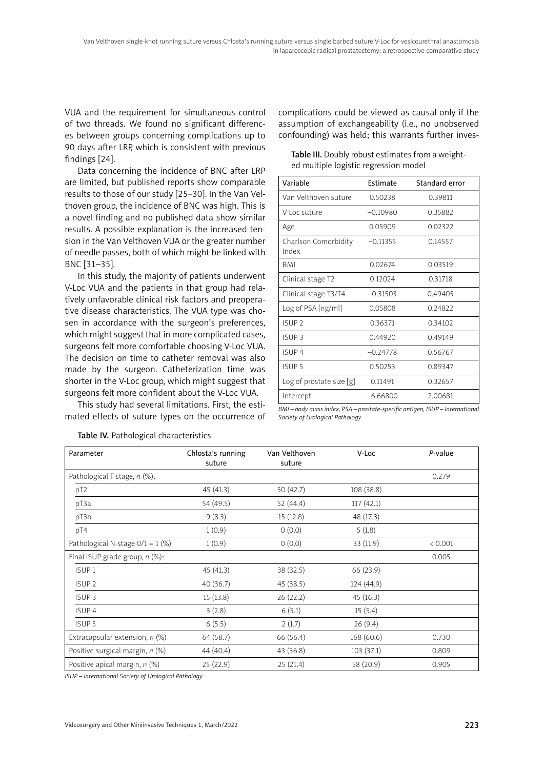VUA and the requirement for [simultaneous](https://pl.bab.la/slownik/angielski-polski/simultaneous#translationsdetails1) control of two threads. We found no significant differences between groups concerning complications up to 90 days after LRP, which is consistent with previous findings [24].

Data concerning the incidence of BNC after LRP are limited, but published reports show comparable results to those of our study [25–30]. In the Van Velthoven group, the incidence of BNC was high. This is a novel finding and no published data show similar results. A possible explanation is the increased tension in the Van Velthoven VUA or the greater number of needle passes, both of which might be linked with BNC [31–35].

In this study, the majority of patients underwent V-Loc VUA and the patients in that group had relatively unfavorable clinical risk factors and preoperative disease characteristics. The VUA type was chosen in accordance with the surgeon's preferences, which might suggest that in more complicated cases, surgeons felt more comfortable choosing V-Loc VUA. The decision on time to catheter removal was also made by the surgeon. Catheterization time was shorter in the V-Loc group, which might suggest that surgeons felt more confident about the V-Loc VUA.

This study had several limitations. First, the estimated effects of suture types on the occurrence of complications could be viewed as causal only if the assumption of exchangeability (i.e., no unobserved confounding) was held; this warrants further inves-

| Table III. Doubly robust estimates from a weight- |
|---------------------------------------------------|
| ed multiple logistic regression model             |

| Variable                      | <b>Fstimate</b> | Standard error |
|-------------------------------|-----------------|----------------|
| Van Velthoven suture          | 0.50238         | 0.39811        |
| V-Loc suture                  | $-0.10980$      | 0.35882        |
| Age                           | 0.05909         | 0.02322        |
| Charlson Comorbidity<br>Index | $-0.11355$      | 0.14557        |
| BMI                           | 0.02674         | 0.03519        |
| Clinical stage T2             | 0.12024         | 0.31718        |
| Clinical stage T3/T4          | $-0.31503$      | 0.49405        |
| Log of PSA [ng/ml]            | 0.05808         | 0.24822        |
| ISUP <sub>2</sub>             | 0.36371         | 0.34102        |
| ISUP <sub>3</sub>             | 0.44920         | 0.49149        |
| ISUP <sub>4</sub>             | $-0.24778$      | 0.56767        |
| ISUP <sub>5</sub>             | 0.50253         | 0.89347        |
| Log of prostate size $[g]$    | 0.11491         | 0.32657        |
| Intercept                     | $-6.66800$      | 2.00681        |

*BMI – body mass index, PSA – prostate-specific antigen, ISUP – International Society of Urological Pathology.*

| Chlosta's running<br>suture | Van Velthoven<br>suture | V-Loc      | P-value |
|-----------------------------|-------------------------|------------|---------|
|                             |                         |            | 0.279   |
| 45(41.3)                    | 50(42.7)                | 108 (38.8) |         |
| 54 (49.5)                   | 52 (44.4)               | 117(42.1)  |         |
| 9(8.3)                      | 15(12.8)                | 48 (17.3)  |         |
| 1(0.9)                      | 0(0.0)                  | 5(1.8)     |         |
| 1(0.9)                      | 0(0.0)                  | 33 (11.9)  | < 0.001 |
|                             |                         |            | 0.005   |
| 45(41.3)                    | 38 (32.5)               | 66 (23.9)  |         |
| 40(36.7)                    | 45(38.5)                | 124 (44.9) |         |
| 15(13.8)                    | 26(22.2)                | 45(16.3)   |         |
| 3(2.8)                      | 6(5.1)                  | 15(5.4)    |         |
| 6(5.5)                      | 2(1.7)                  | 26(9.4)    |         |
| 64 (58.7)                   | 66 (56.4)               | 168 (60.6) | 0.730   |
| 44 (40.4)                   | 43 (36.8)               | 103(37.1)  | 0.809   |
| 25(22.9)                    | 25(21.4)                | 58 (20.9)  | 0.905   |
|                             |                         |            |         |

Table IV. Pathological characteristics

*ISUP – International Society of Urological Pathology.*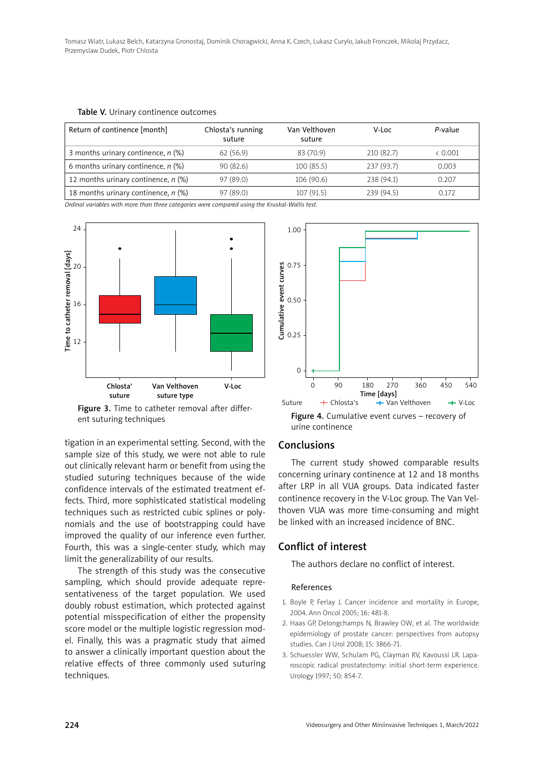| Return of continence [month]          | Chlosta's running<br>suture | Van Velthoven<br>suture | V-Loc      | P-value |
|---------------------------------------|-----------------------------|-------------------------|------------|---------|
| 3 months urinary continence, $n$ (%)  | 62(56.9)                    | 83 (70.9)               | 210(82.7)  | < 0.001 |
| 6 months urinary continence, $n$ (%)  | 90(82.6)                    | 100(85.5)               | 237(93.7)  | 0.003   |
| 12 months urinary continence, $n$ (%) | 97 (89.0)                   | 106(90.6)               | 238 (94.1) | 0.207   |
| 18 months urinary continence, $n$ (%) | 97(89.0)                    | 107 (91.5)              | 239 (94.5) | 0.172   |

Table V. Urinary continence outcomes

*Ordinal variables with more than three categories were compared using the Kruskal-Wallis test.*



Figure 3. Time to catheter removal after different suturing techniques

tigation in an experimental setting. Second, with the sample size of this study, we were not able to rule out clinically relevant harm or benefit from using the studied suturing techniques because of the wide confidence intervals of the estimated treatment effects. Third, more sophisticated statistical modeling techniques such as restricted cubic splines or polynomials and the use of bootstrapping could have improved the quality of our inference even further. Fourth, this was a single-center study, which may limit the generalizability of our results.

The strength of this study was the consecutive sampling, which should provide adequate representativeness of the target population. We used doubly robust estimation, which protected against potential misspecification of either the propensity score model or the multiple logistic regression model. Finally, this was a pragmatic study that aimed to answer a clinically important question about the relative effects of three commonly used suturing techniques.



#### Conclusions

The current study showed comparable results concerning urinary continence at 12 and 18 months after LRP in all VUA groups. Data indicated faster continence recovery in the V-Loc group. The Van Velthoven VUA was more time-consuming and might be linked with an increased incidence of BNC.

## Conflict of interest

The authors declare no conflict of interest.

#### References

- 1. Boyle P, Ferlay J. Cancer incidence and mortality in Europe, 2004. Ann Oncol 2005; 16: 481-8.
- 2. Haas GP, Delongchamps N, Brawley OW, et al. The worldwide epidemiology of prostate cancer: perspectives from autopsy studies. Can J Urol 2008; 15: 3866-71.
- 3. Schuessler WW, Schulam PG, Clayman RV, Kavoussi LR. Laparoscopic radical prostatectomy: initial short-term experience. Urology 1997; 50: 854-7.